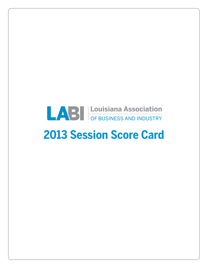# **EXAMPLE CONSIGNAL ASSOCIATION**

## **2013 Session Score Card**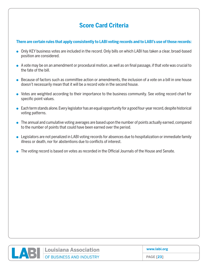#### **Score Card Criteria**

#### **There are certain rules that apply consistently to LABI voting records and to LABI's use of those records:**

- Only KEY business votes are included in the record. Only bills on which LABI has taken a clear, broad-based position are considered.
- A vote may be on an amendment or procedural motion, as well as on final passage, if that vote was crucial to the fate of the bill.
- $\bullet$  Because of factors such as committee action or amendments, the inclusion of a vote on a bill in one house doesn't necessarily mean that it will be a record vote in the second house.
- Votes are weighted according to their importance to the business community. See voting record chart for specific point values.
- $\bullet$  Each term stands alone. Every legislator has an equal opportunity for a good four-year record, despite historical voting patterns.
- $\bullet$  The annual and cumulative voting averages are based upon the number of points actually earned, compared to the number of points that could have been earned over the period.
- Legislators are not penalized in LABI voting records for absences due to hospitalization or immediate family illness or death, nor for abstentions due to conflicts of interest.
- The voting record is based on votes as recorded in the Official Journals of the House and Senate.



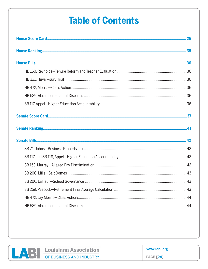### **Table of Contents**

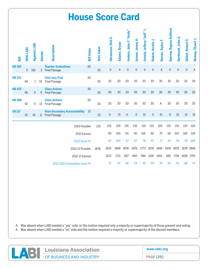|               |           |                     |               |                                                          | <b>House Score Card</b> |                   |                     |              |                        |                     |                           |                     |                   |                               |                     |                           |                          |
|---------------|-----------|---------------------|---------------|----------------------------------------------------------|-------------------------|-------------------|---------------------|--------------|------------------------|---------------------|---------------------------|---------------------|-------------------|-------------------------------|---------------------|---------------------------|--------------------------|
| 冨             | With LABI | <b>Against LABI</b> | <b>Absent</b> | Description                                              | <b>Bill Value</b>       | <b>Vote Value</b> | Abramson, Neil C.   | Adams, Bryan | Anders, John F. "Andy" | Armes, James K.     | Arnold, Jeffery "Jeff" J. | Badon, Austin J.    | Barras, Taylor F. | <b>Barrow, Regina Ashford</b> | Berthelot, John A   | <b>Billiot, Robert E.</b> | <b>Bishop, Stuart J.</b> |
| <b>HB160</b>  | 0         | 102                 | 3             | <b>Teacher Evaluations</b><br><b>Final Passage</b>       | 30                      | 30                | $\mathsf{O}\xspace$ | A            | $\mathsf{O}\xspace$    | $\mathsf{O}\xspace$ | $\mathsf{O}\xspace$       | $\mathsf{O}\xspace$ | $\mathsf A$       | $\overline{0}$                | $\mathsf{O}\xspace$ | $\mathsf{O}\xspace$       | $\mathsf{A}$             |
| <b>HB 321</b> | 94        | $\mathbf{1}$        | 10            | <b>Civil Jury Trial</b><br><b>Final Passage</b>          | 30                      | 30                | 30                  | 30           | 30                     | 30                  | 30                        | 30                  | 30                | 30                            | 30                  | 30                        | 30                       |
| <b>HB 472</b> | 96        | 0                   | 9             | <b>Class Actions</b><br><b>Final Passage</b>             | 30                      | 30                | 30                  | 30           | 30                     | 30                  | 30                        | 30                  | 30                | 30                            | 30                  | 30                        | 30                       |
| <b>HB 589</b> | 92        | 0                   | 13            | <b>Class Actions</b><br><b>Final Passage</b>             | 30                      | 30                | 30                  | 30           | 30                     | 30                  | 30                        | 30                  | A-                | 30                            | 30                  | 30                        | 30                       |
| <b>SB117</b>  | 52        | 42                  |               | <b>Post-Secondary Accountability</b><br>11 Final Passage | 15                      | 15                | $A -$               | 15           | $A -$                  | $\mathsf{O}\xspace$ | 15                        | $\mathsf{O}\xspace$ | 15                | $\mathbf 0$                   | 15                  | 15                        | 15                       |
|               |           |                     |               |                                                          | 2013 Possible           | 135               | 135                 | 105          | 135                    | 135                 | 135                       | 135                 | 105               | 135                           | 135                 | 135                       | 105                      |
|               |           |                     |               |                                                          | 2013 Earned             |                   | 90                  | 105          | 90                     | 90                  | 105                       | 90                  | 75                | 90                            | 105                 | 105                       | 105                      |
|               |           |                     |               |                                                          | 2013 Score %            |                   | 67                  | 100          | 67                     | 67                  | 78                        | 67                  | 71                | 67                            | 78                  | 78                        | 100                      |
|               |           |                     |               |                                                          | 2012-13 Possible        | 1878              | 1693                | 1848         | 1878                   | 1878                | 1773                      | 1878                | 1848              | 1878                          | 1878                | 1878 1848                 |                          |
|               |           |                     |               |                                                          | 2012-13 Earned          |                   | 1223                | 1711         | 857                    | 460                 | 984                       | 1106                | 1403              | 485                           | 1718                | 1658 1793                 |                          |
|               |           |                     |               | 2012-2013 Cumulative Score %                             |                         |                   | 72                  | 93           | 46                     | 24                  | 55                        | 59                  | 76                | 26                            | 91                  | 88                        | 97                       |

| Louisiana Association    | www.labi.org     |
|--------------------------|------------------|
| OF BUSINESS AND INDUSTRY | <b>PAGE [25]</b> |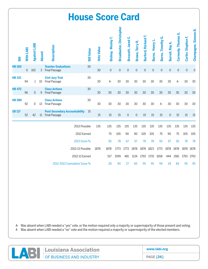|               |                |                     |               |                                                              | <b>House Score Card</b> |                   |                     |                                |                              |                     |                     |                 |                          |                     |                    |                    |                      |
|---------------|----------------|---------------------|---------------|--------------------------------------------------------------|-------------------------|-------------------|---------------------|--------------------------------|------------------------------|---------------------|---------------------|-----------------|--------------------------|---------------------|--------------------|--------------------|----------------------|
| 륾             | With LABI      | <b>Against LABI</b> | <b>Absent</b> | Description                                                  | <b>Bill Value</b>       | <b>Vote Value</b> | Bishop, Wesley T.   | <b>Broadwater, Christopher</b> | ن<br><b>Brossett</b> , Jared | Brown, Terry R.     | Burford, Richard T. | Burns, Henry L. | <b>Burns, Timothy G.</b> | Burrell, Roy A      | Carmody, Thomas G. | Carter, Stephen F. | Champagne, Simone B. |
| <b>HB160</b>  | $\overline{0}$ | 102                 | 3             | <b>Teacher Evaluations</b><br><b>Final Passage</b>           | 30                      | 30                | $\mathsf{O}\xspace$ | $\mathbf 0$                    | $\mathbf 0$                  | $\mathsf{O}\xspace$ | $\mathbf 0$         | $\mathbf 0$     | $\overline{0}$           | $\mathsf{O}\xspace$ | $\mathbf 0$        | $\mathbf 0$        | $\overline{0}$       |
| <b>HB 321</b> | 94             | $\mathbf{1}$        | 10            | <b>Civil Jury Trial</b><br><b>Final Passage</b>              | 30                      | 30                | A-                  | 30                             | 30                           | 30                  | 30                  | 30              | 30                       | 30                  | A-                 | 30                 | 30                   |
| <b>HB 472</b> | 96             | 0                   | 9             | <b>Class Actions</b><br><b>Final Passage</b>                 | 30                      | 30                | 30                  | 30                             | 30                           | 30                  | 30                  | 30              | 30                       | 30                  | 30                 | 30                 | 30                   |
| <b>HB 589</b> | 92             | 0                   | 13            | <b>Class Actions</b><br><b>Final Passage</b>                 | 30                      | 30                | 30                  | 30                             | 30                           | 30                  | 30                  | 30              | A-                       | 30                  | 30                 | 30                 | 30                   |
| <b>SB117</b>  | 52             | 42                  | $11\,$        | <b>Post-Secondary Accountability</b><br><b>Final Passage</b> | 15                      | 15                | 15                  | 15                             | $\mathbf 0$                  | $\mathbf 0$         | 15                  | 15              | 15                       | $\mathbf 0$         | 15                 | 15                 | 15                   |
|               |                |                     |               |                                                              | 2013 Possible           | 135               | 135                 | 135                            | 135                          | 135                 | 135                 | 135             | 135                      | 135                 | 135                | 135                | 135                  |
|               |                |                     |               |                                                              | 2013 Earned             |                   | 75                  | 105                            | 90                           | 90                  | 105                 | 105             | 75                       | 90                  | 75                 | 105                | 105                  |
|               |                |                     |               |                                                              | 2013 Score %            |                   | 56                  | 78                             | 67                           | 67                  | 78                  | 78              | 56                       | 67                  | 56                 | 78                 | 78                   |
|               |                |                     |               |                                                              | 2012-13 Possible        | 1878              | 1878                | 1773                           | 1773                         | 1878                | 1878                | 1823            | 1773                     | 1878                | 1878               | 1878 1878          |                      |
|               |                |                     |               |                                                              | 2012-13 Earned          |                   | 517                 | 1599                           | 481                          | 1134                | 1793                | 1735            | 1658                     | 444                 | 1581               | 1793               | 1793                 |
|               |                |                     |               | 2012-2013 Cumulative Score %                                 |                         |                   | 28                  | 90                             | 27                           | 60                  | 95                  | 95              | 94                       | 24                  | 84                 | 95                 | 95                   |

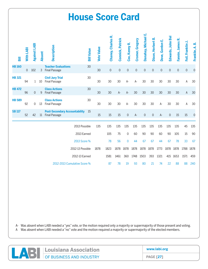|               |             |                     |               |                                                          | <b>House Score Card</b>      |                   |                     |                     |                     |                     |                     |                     |                     |                   |                     |                     |                 |
|---------------|-------------|---------------------|---------------|----------------------------------------------------------|------------------------------|-------------------|---------------------|---------------------|---------------------|---------------------|---------------------|---------------------|---------------------|-------------------|---------------------|---------------------|-----------------|
| 壽             | With LABI   | <b>Against LABI</b> | <b>Absent</b> | Description                                              | <b>Bill Value</b>            | <b>Vote Value</b> | Chaney, Charles R.  | Connick, Patrick    | Cox, Kenny R.       | Cromer, Gregory     | Danahay, Michael E. | ≃<br>Dixon, Herbert | Dove, Gordon E.     | Edwards, John Bel | Fannin, James R.    | Foil, Franklin J.   | Franklin, A. B. |
| <b>HB160</b>  | $\mathbf 0$ | 102                 | 3             | <b>Teacher Evaluations</b><br><b>Final Passage</b>       | 30                           | 30                | $\mathsf{O}\xspace$ | $\mathsf{O}\xspace$ | $\mathsf{O}\xspace$ | $\mathsf{O}\xspace$ | $\mathbf 0$         | $\mathsf{O}\xspace$ | $\mathsf{O}\xspace$ | $\mathbf 0$       | $\mathsf{O}\xspace$ | $\mathsf{O}\xspace$ | $\mathbf 0$     |
| <b>HB 321</b> | 94          | $\mathbf{1}$        | 10            | <b>Civil Jury Trial</b><br><b>Final Passage</b>          | 30                           | 30                | 30                  | 30                  | $A -$               | $A -$               | 30                  | 30                  | 30                  | 30                | 30                  | A                   | 30              |
| <b>HB 472</b> | 96          | $\overline{0}$      | 9             | <b>Class Actions</b><br><b>Final Passage</b>             | 30                           | 30                | 30                  | $A-$                | $A-$                | 30                  | 30                  | 30                  | 30                  | 30                | 30                  | $\mathsf A$         | 30              |
| <b>HB 589</b> | 92          | 0                   | 13            | <b>Class Actions</b><br><b>Final Passage</b>             | 30                           | 30                | 30                  | 30                  | A-                  | 30                  | 30                  | 30                  | A-                  | 30                | 30                  | A                   | 30              |
| <b>SB117</b>  | 52          | 42                  |               | <b>Post-Secondary Accountability</b><br>11 Final Passage | 15                           | 15                | 15                  | 15                  | $\overline{0}$      | $A-$                | $\mathbf 0$         | $\mathbf 0$         | $A-$                | $\overline{0}$    | 15                  | 15                  | $\mathbf 0$     |
|               |             |                     |               |                                                          | 2013 Possible                | 135               | 135                 | 135                 | 135                 | 135                 | 135                 | 135                 | 135                 | 135               | 135                 | 45                  | 135             |
|               |             |                     |               |                                                          | 2013 Earned                  |                   | 105                 | 75                  | 0                   | 60                  | 90                  | 90                  | 60                  | 90                | 105                 | 15                  | 90              |
|               |             |                     |               |                                                          | 2013 Score %                 |                   | 78                  | 56                  | 0                   | 44                  | 67                  | 67                  | 44                  | 67                | 78                  | 33                  | 67              |
|               |             |                     |               |                                                          | 2012-13 Possible             | 1878              | 1823                | 1878                | 1878                | 1878                | 1878                | 1878                | 1773                | 1878              | 1878                | 1788                | 1878            |
|               |             |                     |               |                                                          | 2012-13 Earned               |                   | 1581                | 1461                | 360                 | 1748                | 1503                | 393                 | 1321                | 415               | 1653                | 1571                | 459             |
|               |             |                     |               |                                                          | 2012-2013 Cumulative Score % |                   | 87                  | 78                  | 19                  | 93                  | 80                  | 21                  | 74                  | 22                | 88                  | 88                  | 240             |

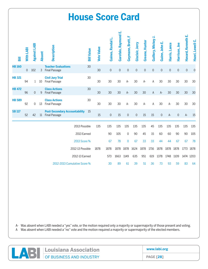|               |           |                     |               |                                                          | <b>House Score Card</b>      |                   |                     |                      |                 |                     |                |                     |                     |               |               |                     |                  |
|---------------|-----------|---------------------|---------------|----------------------------------------------------------|------------------------------|-------------------|---------------------|----------------------|-----------------|---------------------|----------------|---------------------|---------------------|---------------|---------------|---------------------|------------------|
| 壽             | With LABI | <b>Against LABI</b> | <b>Absent</b> | Description                                              | <b>Bill Value</b>            | <b>Vote Value</b> | Gaines, Randal L.   | Garofalo, Raymond E. | Geymann, Brett, | Gisclair, Jerry     | Greene, Hunter | Guillory, Mickey J. | Guinn, John E.      | Harris, Lance | Harrison, Joe | Havard, Kenneth E.  | Hazel, Lowell C. |
| <b>HB160</b>  | $\Omega$  | 102                 | 3             | <b>Teacher Evaluations</b><br><b>Final Passage</b>       | 30                           | 30                | $\overline{0}$      | $\mathbf 0$          | $\mathbf 0$     | $\mathbf 0$         | $\mathbf 0$    | $\mathbf 0$         | $\mathbf 0$         | $\mathbf 0$   | $\mathbf 0$   | $\mathsf{O}\xspace$ | $\mathbf 0$      |
| <b>HB 321</b> | 94        | 1                   | 10            | <b>Civil Jury Trial</b><br><b>Final Passage</b>          | 30                           | 30                | 30                  | 30                   | A-              | 30                  | $A -$          | A                   | 30                  | 30            | 30            | 30                  | 30               |
| <b>HB 472</b> | 96        | $\overline{0}$      | 9             | <b>Class Actions</b><br><b>Final Passage</b>             | 30                           | 30                | 30                  | 30                   | $A-$            | 30                  | 30             | A                   | $A-$                | 30            | 30            | 30                  | 30               |
| <b>HB 589</b> | 92        | 0                   | 13            | <b>Class Actions</b><br><b>Final Passage</b>             | 30                           | 30                | 30                  | 30                   | A-              | 30                  | $A -$          | A                   | 30                  | A-            | 30            | 30                  | 30               |
| <b>SB117</b>  | 52        | 42                  |               | <b>Post-Secondary Accountability</b><br>11 Final Passage | 15                           | 15                | $\mathsf{O}\xspace$ | 15                   | $\mathbf 0$     | $\mathsf{O}\xspace$ | 15             | 15                  | $\mathsf{O}\xspace$ | $A -$         | $\mathbf 0$   | $A-$                | 15               |
|               |           |                     |               |                                                          | 2013 Possible                | 135               | 135                 | 135                  | 135             | 135                 | 135            | 45                  | 135                 | 135           | 135           | 135                 | 135              |
|               |           |                     |               |                                                          | 2013 Earned                  |                   | 90                  | 105                  | 0               | 90                  | 45             | 15                  | 60                  | 60            | 90            | 90                  | 105              |
|               |           |                     |               |                                                          | 2013 Score %                 |                   | 67                  | 78                   | $\overline{0}$  | 67                  | 33             | 33                  | 44                  | 44            | 67            | 67                  | 78               |
|               |           |                     |               |                                                          | 2012-13 Possible             | 1878              | 1878                | 1878                 | 1878            | 1624                | 1878           | 1716                | 1878                | 1878          | 1878          | 1773                | 1878             |
|               |           |                     |               |                                                          | 2012-13 Earned               |                   | 573                 | 1663                 | 1149            | 635                 | 951            | 619                 | 1378                | 1748          | 1109          |                     | 1474 1203        |
|               |           |                     |               |                                                          | 2012-2013 Cumulative Score % |                   | 30                  | 89                   | 61              | 39                  | 51             | 36                  | 73                  | 93            | 59            | 83                  | 64               |

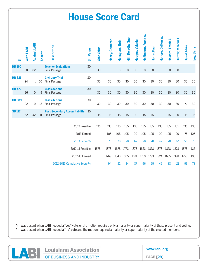|               |           |                     |               |                                                          | <b>House Score Card</b> |                   |                     |               |                          |                     |                     |                     |                     |                     |                     |                     |             |
|---------------|-----------|---------------------|---------------|----------------------------------------------------------|-------------------------|-------------------|---------------------|---------------|--------------------------|---------------------|---------------------|---------------------|---------------------|---------------------|---------------------|---------------------|-------------|
| 暠             | With LABI | <b>Against LABI</b> | <b>Absent</b> | Description                                              | <b>Bill Value</b>       | <b>Vote Value</b> | Henry, Cameron      | Hensgens, Bob | <b>Hill, Dorothy Sue</b> | Hodges, Valarie     | Hoffmann, Frank A.  | Hollis, Paul        | Honore, Dalton W.   | Howard, Frank A.    | Hunter, Marcus L.   | Huval, Mike         | Ivey, Barry |
| <b>HB160</b>  | 0         | 102                 | 3             | <b>Teacher Evaluations</b><br><b>Final Passage</b>       | 30                      | 30                | $\mathsf{O}\xspace$ | $\mathbf 0$   | $\mathsf{O}\xspace$      | $\mathsf{O}\xspace$ | $\mathsf{O}\xspace$ | $\mathsf{O}\xspace$ | $\mathsf{O}\xspace$ | $\mathsf{O}\xspace$ | $\mathsf{O}\xspace$ | $\mathsf{O}\xspace$ | $\mathbf 0$ |
| <b>HB 321</b> | 94        | $\mathbf{1}$        | 10            | <b>Civil Jury Trial</b><br><b>Final Passage</b>          | 30                      | 30                | 30                  | 30            | 30                       | 30                  | 30                  | 30                  | 30                  | 30                  | 30                  | 30                  | 30          |
| <b>HB 472</b> | 96        | $\Omega$            | 9             | <b>Class Actions</b><br><b>Final Passage</b>             | 30                      | 30                | 30                  | 30            | 30                       | 30                  | 30                  | 30                  | 30                  | 30                  | 30                  | 30                  | 30          |
| <b>HB 589</b> | 92        | 0                   | 13            | <b>Class Actions</b><br><b>Final Passage</b>             | 30                      | 30                | 30                  | 30            | 30                       | 30                  | 30                  | 30                  | 30                  | 30                  | 30                  | A-                  | 30          |
| <b>SB117</b>  | 52        | 42                  |               | <b>Post-Secondary Accountability</b><br>11 Final Passage | -15                     | 15                | 15                  | 15            | 15                       | $\mathsf{O}\xspace$ | 15                  | 15                  | $\mathsf{O}\xspace$ | 15                  | $\mathbf 0$         | 15                  | 15          |
|               |           |                     |               |                                                          | 2013 Possible           | 135               | 135                 | 135           | 135                      | 135                 | 135                 | 135                 | 135                 | 135                 | 135                 | 135                 | 135         |
|               |           |                     |               |                                                          | 2013 Earned             |                   | 105                 | 105           | 105                      | 90                  | 105                 | 105                 | 90                  | 105                 | 90                  | 75                  | 105         |
|               |           |                     |               |                                                          | 2013 Score %            |                   | 78                  | 78            | 78                       | 67                  | 78                  | 78                  | 67                  | 78                  | 67                  | 56                  | 78          |
|               |           |                     |               |                                                          | 2012-13 Possible        | 1878              | 1878                | 1878          | 1773                     | 1878                | 1823                | 1878                | 1878                | 1878                | 1878                | 1878                | 135         |
|               |           |                     |               |                                                          | 2012-13 Earned          |                   | 1769                | 1543          | 605                      | 1631                | 1759                | 1793                | 924                 | 1655                | 398                 | 1753                | 105         |
|               |           |                     |               | 2012-2013 Cumulative Score %                             |                         |                   | 94                  | 82            | 34                       | 87                  | 96                  | 95                  | 49                  | 88                  | 21                  | 93                  | 78          |

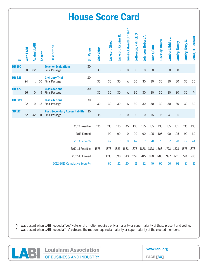|               |             |                     |               |                                                          | <b>House Score Card</b>      |                   |                     |                     |                        |                       |                     |             |                     |                     |                      |                  |                   |
|---------------|-------------|---------------------|---------------|----------------------------------------------------------|------------------------------|-------------------|---------------------|---------------------|------------------------|-----------------------|---------------------|-------------|---------------------|---------------------|----------------------|------------------|-------------------|
| 噐             | With LABI   | <b>Against LABI</b> | <b>Absent</b> | Description                                              | <b>Bill Value</b>            | <b>Vote Value</b> | Jackson, Girod      | Jackson, Katrina R. | James, Edward C. "Ted" | Jefferson, Patrick O. | Johnson, Robert A.  | Jones, Sam  | Kleckley, Chuck     | Lambert, Eddie J.   | <b>Landry, Nancy</b> | Landry, Terry C. | LeBas, H. Bernard |
| <b>HB160</b>  | $\mathbf 0$ | 102                 |               | <b>Teacher Evaluations</b><br>3 Final Passage            | 30                           | 30                | $\mathsf{O}\xspace$ | $\mathsf{O}\xspace$ | $\mathbf 0$            | $\mathsf{O}\xspace$   | $\mathsf{O}\xspace$ | $\mathbf 0$ | $\mathsf{O}\xspace$ | $\mathsf{O}\xspace$ | $\mathsf{O}\xspace$  | $\mathbf 0$      | $\mathbf 0$       |
| <b>HB 321</b> | 94          | 1                   | 10            | <b>Civil Jury Trial</b><br><b>Final Passage</b>          | 30                           | 30                | 30                  | 30                  | A                      | 30                    | 30                  | 30          | 30                  | 30                  | 30                   | 30               | 30                |
| <b>HB 472</b> | 96          | $\mathbf{0}$        | 9             | <b>Class Actions</b><br><b>Final Passage</b>             | 30                           | 30                | 30                  | 30                  | A                      | 30                    | 30                  | 30          | 30                  | 30                  | 30                   | 30               | $A-$              |
| <b>HB 589</b> | 92          | 0                   | 13            | <b>Class Actions</b><br><b>Final Passage</b>             | 30                           | 30                | 30                  | 30                  | Α                      | 30                    | 30                  | 30          | 30                  | 30                  | 30                   | 30               | 30                |
| <b>SB117</b>  | 52          | 42                  |               | <b>Post-Secondary Accountability</b><br>11 Final Passage | 15                           | 15                | $\mathsf{O}\xspace$ | $\mathsf{O}\xspace$ | $\mathbf 0$            | $\mathbf 0$           | $\mathbf 0$         | 15          | 15                  | $A-$                | 15                   | $\mathbf 0$      | $\mathbf 0$       |
|               |             |                     |               |                                                          | 2013 Possible                | 135               | 135                 | 135                 | 45                     | 135                   | 135                 | 135         | 135                 | 135                 | 135                  | 135              | 135               |
|               |             |                     |               |                                                          | 2013 Earned                  |                   | 90                  | 90                  | 0                      | 90                    | 90                  | 105         | 105                 | 90                  | 105                  | 90               | 60                |
|               |             |                     |               |                                                          | 2013 Score %                 |                   | 67                  | 67                  | 0                      | 67                    | 67                  | 78          | 78                  | 67                  | 78                   | 67               | 44                |
|               |             |                     |               |                                                          | 2012-13 Possible             | 1878              | 1878                | 1823                | 1683                   | 1878                  | 1878                | 1878        | 1868                | 1773                | 1878                 | 1878             | 1878              |
|               |             |                     |               |                                                          | 2012-13 Earned               |                   | 1133                | 398                 | 343                    | 959                   | 415                 | 920         | 1783                | 997                 | 1715                 | 574              | 580               |
|               |             |                     |               |                                                          | 2012-2013 Cumulative Score % |                   | 60                  | 22                  | 20                     | 51                    | 22                  | 49          | 95                  | 56                  | 91                   | 31               | 31                |

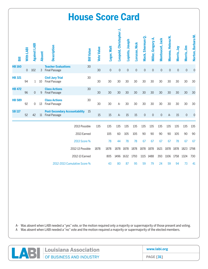|               |                  |                     |               |                                                              | <b>House Score Card</b> |                   |                   |                |                         |                 |               |                     |                             |                     |                     |             |                     |                    |
|---------------|------------------|---------------------|---------------|--------------------------------------------------------------|-------------------------|-------------------|-------------------|----------------|-------------------------|-----------------|---------------|---------------------|-----------------------------|---------------------|---------------------|-------------|---------------------|--------------------|
| 冨             | <b>With LABI</b> | <b>Against LABI</b> | <b>Absent</b> | <b>Description</b>                                           |                         | <b>Bill Value</b> | <b>Vote Value</b> | Leger, Walt    | Leopold, Christopher J. | Lopinto, Joseph | Lorusso, Nick | Mack, Sherman Q.    | ⋖<br><b>Miller, Gregory</b> | Montoucet, Jack     | Moreno, Helena N.   | Morris, Jay | Morris, Jim         | Norton, Barbara M. |
| <b>HB160</b>  | $\Omega$         | 102                 | 3             | <b>Teacher Evaluations</b><br><b>Final Passage</b>           |                         | 30                | 30                | $\overline{0}$ | $\mathbf 0$             | $\mathbf 0$     | $\mathbf 0$   | $\mathsf{O}\xspace$ | $\mathbf 0$                 | $\mathbf 0$         | $\mathsf{O}\xspace$ | $\mathbf 0$ | $\mathsf{O}\xspace$ | $\overline{0}$     |
| <b>HB 321</b> | 94               | 1                   | 10            | <b>Civil Jury Trial</b><br><b>Final Passage</b>              |                         | 30                | 30                | 30             | 30                      | 30              | 30            | 30                  | 30                          | 30                  | 30                  | 30          | 30                  | 30                 |
| <b>HB 472</b> | 96               | 0                   | 9             | <b>Class Actions</b><br><b>Final Passage</b>                 |                         | 30                | 30                | 30             | 30                      | 30              | 30            | 30                  | 30                          | 30                  | 30                  | 30          | 30                  | 30                 |
| <b>HB 589</b> | 92               | 0                   | 13            | <b>Class Actions</b><br><b>Final Passage</b>                 |                         | 30                | 30                | 30             | $A -$                   | 30              | 30            | 30                  | 30                          | 30                  | 30                  | 30          | 30                  | 30                 |
| <b>SB 117</b> | 52               | 42                  | 11            | <b>Post-Secondary Accountability</b><br><b>Final Passage</b> |                         | 15                | 15                | 15             | $A-$                    | 15              | 15            | $\mathsf{O}\xspace$ | $\mathsf{O}\xspace$         | $\mathsf{O}\xspace$ | $A-$                | 15          | $\mathsf{O}\xspace$ | $\mathbf 0$        |
|               |                  |                     |               |                                                              | 2013 Possible           |                   | 135               | 135            | 135                     | 135             | 135           | 135                 | 135                         | 135                 | 135                 | 135         | 135                 | 135                |
|               |                  |                     |               |                                                              | 2013 Earned             |                   |                   | 105            | 60                      | 105             | 105           | 90                  | 90                          | 90                  | 90                  | 105         | 90                  | 90                 |
|               |                  |                     |               |                                                              | 2013 Score %            |                   |                   | 78             | 44                      | 78              | 78            | 67                  | 67                          | 67                  | 67                  | 78          | 67                  | 67                 |
|               |                  |                     |               |                                                              | 2012-13 Possible        |                   | 1878              | 1878           | 1878                    | 1878            | 1878          | 1878                | 1878                        | 1621                | 1878                | 1878        | 1823                | 1798               |
|               |                  |                     |               |                                                              | 2012-13 Earned          |                   |                   | 805            | 1496 1632               |                 | 1793          |                     | 1115 1488                   | 393                 | 1106                | 1758        | 1324                | 730                |
|               |                  |                     |               | 2012-2013 Cumulative Score %                                 |                         |                   |                   | 43             | 80                      | 87              | 95            | 59                  | 79                          | 24                  | 59                  | 94          | 73                  | 41                 |

| Louisiana Association    | www.labi.org     |
|--------------------------|------------------|
| OF BUSINESS AND INDUSTRY | <b>PAGE [31]</b> |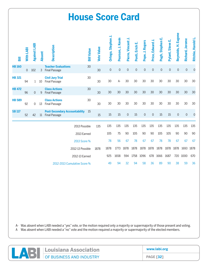|               |             |                     |               |                                                              | <b>House Score Card</b>      |                   |                     |                     |                     |                     |                     |                     |                     |                         |                     |                     |                    |
|---------------|-------------|---------------------|---------------|--------------------------------------------------------------|------------------------------|-------------------|---------------------|---------------------|---------------------|---------------------|---------------------|---------------------|---------------------|-------------------------|---------------------|---------------------|--------------------|
| 冨             | With LABI   | <b>Against LABI</b> | <b>Absent</b> | <b>Description</b>                                           | <b>Bill Value</b>            | <b>Vote Value</b> | Ortego, Stephen J.  | Pearson, J. Kevin   | Pierre, Vincent     | Ponti, Erich E.     | Pope, J. Rogers     | Price, Edward J     | Pugh, Stephen E.    | <b>Pylant, Steve E.</b> | Reynolds, H. Eugene | Richard, Jerome     | Ritchie, Harold L. |
| <b>HB 160</b> | $\mathbf 0$ | 102                 | 3             | <b>Teacher Evaluations</b><br><b>Final Passage</b>           | 30                           | 30                | $\mathsf{O}\xspace$ | $\mathsf{O}\xspace$ | $\mathsf{O}\xspace$ | $\mathsf{O}\xspace$ | $\mathsf{O}\xspace$ | $\mathsf{O}\xspace$ | $\mathsf{O}\xspace$ | $\mathsf{O}\xspace$     | $\mathsf{O}\xspace$ | $\mathsf{O}\xspace$ | $\mathbf 0$        |
| <b>HB 321</b> | 94          | $\mathbf{1}$        | 10            | <b>Civil Jury Trial</b><br><b>Final Passage</b>              | 30                           | 30                | 30                  | $A -$               | 30                  | 30                  | 30                  | 30                  | 30                  | 30                      | 30                  | 30                  | 30                 |
| <b>HB 472</b> | 96          | 0                   | 9             | <b>Class Actions</b><br><b>Final Passage</b>                 | 30                           | 30                | 30                  | 30                  | 30                  | 30                  | 30                  | 30                  | 30                  | 30                      | 30                  | 30                  | 30                 |
| <b>HB 589</b> | 92          | 0                   | 13            | <b>Class Actions</b><br><b>Final Passage</b>                 | 30                           | 30                | 30                  | 30                  | 30                  | 30                  | 30                  | 30                  | 30                  | 30                      | 30                  | 30                  | 30                 |
| <b>SB117</b>  | 52          | 42                  | 11            | <b>Post-Secondary Accountability</b><br><b>Final Passage</b> | 15                           | 15                | 15                  | 15                  | $\mathbf 0$         | 15                  | $\mathbf 0$         | $\mathbf 0$         | 15                  | 15                      | $\mathbf 0$         | $\mathsf{O}\xspace$ | $\mathbf 0$        |
|               |             |                     |               |                                                              | 2013 Possible                | 135               | 135                 | 135                 | 135                 | 135                 | 135                 | 135                 | 135                 | 135                     | 135                 | 135                 | 135                |
|               |             |                     |               |                                                              | 2013 Earned                  |                   | 105                 | 75                  | 90                  | 105                 | 90                  | 90                  | 105                 | 105                     | 90                  | 90                  | 90                 |
|               |             |                     |               |                                                              | 2013 Score %                 |                   | 78                  | 56                  | 67                  | 78                  | 67                  | 67                  | 78                  | 78                      | 67                  | 67                  | 67                 |
|               |             |                     |               |                                                              | 2012-13 Possible             | 1878              | 1878                | 1773                | 1878                | 1878                | 1878                | 1878                | 1878                | 1878                    | 1878                | 1693                | 1878               |
|               |             |                     |               |                                                              | 2012-13 Earned               |                   | 925                 | 1658                | 594                 | 1758                | 1096                | 678                 | 1666                | 1687                    | 720                 | 1000                | 670                |
|               |             |                     |               |                                                              | 2012-2013 Cumulative Score % |                   | 49                  | 94                  | 32                  | 94                  | 58                  | 36                  | 89                  | 90                      | 38                  | 59                  | 36                 |

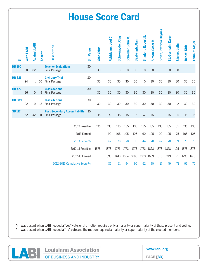|               |           |                     |               |                                                              | <b>House Score Card</b>      |                   |                     |                     |                     |                |                     |                |                        |                     |                     |              |                |
|---------------|-----------|---------------------|---------------|--------------------------------------------------------------|------------------------------|-------------------|---------------------|---------------------|---------------------|----------------|---------------------|----------------|------------------------|---------------------|---------------------|--------------|----------------|
| 冨             | With LABI | <b>Against LABI</b> | <b>Absent</b> | <b>Description</b>                                           | <b>Bill Value</b>            | <b>Vote Value</b> | Robideaux, Joel C.  | Schexnayder, Clay   | Schroder, John M.   | Seabaugh, Alan | Shadoin, Robert E.  | Simon, Scott M | Smith, Patricia Haynes | St. Germain, Karen  | Stokes, Julie       | Talbot, Kirk | Thibaut, Major |
| <b>HB160</b>  | 0         | 102                 | 3             | <b>Teacher Evaluations</b><br><b>Final Passage</b>           | 30                           | 30                | $\mathsf{O}\xspace$ | $\mathsf{O}\xspace$ | $\mathsf{O}\xspace$ | $\mathbf 0$    | $\mathsf{O}\xspace$ | $\mathbf 0$    | $\mathbf 0$            | $\mathsf{O}\xspace$ | $\mathsf{O}\xspace$ | $\mathsf{O}$ | $\mathbf 0$    |
| <b>HB 321</b> | 94        | 1                   | 10            | <b>Civil Jury Trial</b><br><b>Final Passage</b>              | 30                           | 30                | 30                  | 30                  | 30                  | 30             | $\Omega$            | 30             | 30                     | 30                  | 30                  | 30           | 30             |
| <b>HB 472</b> | 96        | 0                   | 9             | <b>Class Actions</b><br><b>Final Passage</b>                 | 30                           | 30                | 30                  | 30                  | 30                  | 30             | 30                  | 30             | 30                     | 30                  | 30                  | 30           | 30             |
| <b>HB 589</b> | 92        | 0                   | 13            | <b>Class Actions</b><br><b>Final Passage</b>                 | 30                           | 30                | 30                  | 30                  | 30                  | 30             | 30                  | 30             | 30                     | 30                  | A                   | 30           | 30             |
| <b>SB117</b>  | 52        | 42                  | 11            | <b>Post-Secondary Accountability</b><br><b>Final Passage</b> | -15                          | 15                | $A-$                | 15                  | 15                  | 15             | $A-$                | 15             | $\mathbf 0$            | 15                  | 15                  | 15           | 15             |
|               |           |                     |               |                                                              | 2013 Possible                | 135               | 135                 | 135                 | 135                 | 135            | 135                 | 135            | 135                    | 135                 | 105                 | 135          | 135            |
|               |           |                     |               |                                                              | 2013 Earned                  |                   | 90                  | 105                 | 105                 | 105            | 60                  | 105            | 90                     | 105                 | 75                  | 105          | 105            |
|               |           |                     |               |                                                              | 2013 Score %                 |                   | 67                  | 78                  | 78                  | 78             | 44                  | 78             | 67                     | 78                  | 71                  | 78           | 78             |
|               |           |                     |               |                                                              | 2012-13 Possible             | 1878              | 1878                | 1773                | 1773                | 1773           | 1773                | 1823           | 1878                   | 1878                | 105                 | 1878 1878    |                |
|               |           |                     |               |                                                              | 2012-13 Earned               |                   | 1593                |                     | 1613 1664           | 1688           |                     | 1103 1639      | 310                    | 919                 | 75                  | 1793         | 1413           |
|               |           |                     |               |                                                              | 2012-2013 Cumulative Score % |                   | 85                  | 91                  | 94                  | 95             | 62                  | 90             | 17                     | 49                  | 71                  | 95           | 75             |

| Louisiana Association               | www.labi.org     |
|-------------------------------------|------------------|
| <b>NEW OF BUSINESS AND INDUSTRY</b> | <b>PAGE [33]</b> |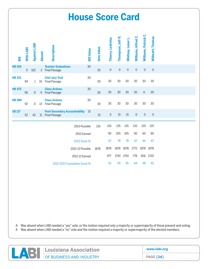| <b>House Score Card</b> |                |                     |               |                                                          |                              |                   |                   |                     |                     |                   |                     |                      |                     |
|-------------------------|----------------|---------------------|---------------|----------------------------------------------------------|------------------------------|-------------------|-------------------|---------------------|---------------------|-------------------|---------------------|----------------------|---------------------|
| 冨                       | With LABI      | <b>Against LABI</b> | <b>Absent</b> | Description                                              |                              | <b>Bill Value</b> | <b>Vote Value</b> | Thierry, Ledricka   | Thompson, Jeff R.   | Whitney, Lenar L. | Williams, Alfred C. | Williams, Patrick C. | Willmott, Thomas    |
| <b>HB160</b>            | $\overline{0}$ | 102                 |               | <b>Teacher Evaluations</b><br>3 Final Passage            |                              | 30                | 30                | $\mathsf{O}\xspace$ | $\mathsf{O}\xspace$ | $\mathbf 0$       | $\mathbf 0$         | $\mathbf 0$          | $\mathsf{O}\xspace$ |
| <b>HB 321</b>           | 94             | $\mathbf{1}$        | 10            | <b>Civil Jury Trial</b><br><b>Final Passage</b>          |                              | 30                | 30                | 30                  | 30                  | 30                | 30                  | 30                   | 30                  |
| <b>HB 472</b>           | 96             | $\mathbf{0}$        | 9             | <b>Class Actions</b><br><b>Final Passage</b>             |                              | 30                | 30                | 30                  | 30                  | 30                | 30                  | $A-$                 | 30                  |
| <b>HB 589</b>           | 92             | 0                   |               | <b>Class Actions</b><br>13 Final Passage                 |                              | 30                | 30                | 30                  | 30                  | 30                | 30                  | 30                   | 30                  |
| <b>SB117</b>            | 52             | 42                  |               | <b>Post-Secondary Accountability</b><br>11 Final Passage |                              | - 15              | 15                | $\mathbf 0$         | 15                  | 15                | $\mathbf 0$         | $\mathbf 0$          | $\mathbf 0$         |
|                         |                |                     |               |                                                          | 2013 Possible                |                   | 135               | 135                 | 135                 | 135               | 135                 | 135                  | 135                 |
|                         |                |                     |               |                                                          | 2013 Earned                  |                   |                   | 90                  | 105                 | 105               | 90                  | 60                   | 90                  |
|                         |                |                     |               |                                                          | 2013 Score %                 |                   |                   | 67                  | 78                  | 78                | 67                  | 44                   | 67                  |
|                         |                |                     |               |                                                          | 2012-13 Possible             |                   | 1878              | 1878                | 1878                | 1878              | 1773                | 1878 1878            |                     |
|                         |                |                     |               |                                                          | 2012-13 Earned               |                   |                   | 977                 | 1793                | 1793              | 778                 |                      | 906 1720            |
|                         |                |                     |               |                                                          | 2012-2013 Cumulative Score % |                   |                   | 52                  | 95                  | 95                | 44                  | 48                   | 92                  |

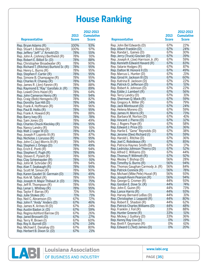#### **House Ranking**

|                                           | 2013         | ZUIZ-ZUIJ<br><b>Cumulativ</b> |
|-------------------------------------------|--------------|-------------------------------|
|                                           |              | <b>Score</b>                  |
| <b>Representative</b>                     | <b>Score</b> |                               |
| Rep. Bryan Adams (R)                      | 100%         | 93%                           |
| Rep. Stuart J. Bishop (R)                 | 100%         | 97%                           |
| Rep. Jeffery "Jeff" J." Arnold (D)        | 78%          | 55%                           |
| Rep. John A. (Johnny) Berthelot (R)       | 78%          | 91%                           |
| Rep. Robert E. Billiot Sr. (D)            | 78%          | 88%                           |
| Rep. Christopher Broadwater (R)           | 78%          | 90%                           |
| Rep. Richard T. (Ritchie) Burford Sr. (R) | 78%          | 95%                           |
| Rep. Henry L. Burns (R)                   | 78%          | 95%                           |
| Rep. Stephen F. Carter (R)                | 78%          | 95%                           |
| Rep. Simone B. Champagne (R)              | 78%          | 95%                           |
| Rep. Charles R. Chaney (R)                | 78%          | 87%                           |
|                                           | 78%          |                               |
| Rep. James R. (Jim) Fannin (R)            |              | 88%                           |
| Rep. Raymond E."Ray" Garofalo Jr. (R)     | 78%          | 89%                           |
| Rep. Lowell Chris Hazel (R)               | 78%          | 64%                           |
| Rep. John Cameron Henry (R)               | 78%          | 94%                           |
| Rep. Craig (Bob) Hensgens (R)             | 78%          | 82%                           |
| Rep. Dorothy Sue Hill (D)                 | 78%          | 34%                           |
| Rep. Frank A. Hoffmann (R)                | 78%          | 96%                           |
| Rep. Paul B. Hollis (R)                   | 78%          | 95%                           |
| Rep. Frank A. Howard (R)                  | 78%          | 88%                           |
| Rep. Barry Ivey (R)                       | 78%          | 78%                           |
| Rep. Sam Jones (D)                        | 78%          | 49%                           |
| Rep. Charles Chuck Kleckley (R)           | 78%          | 95%                           |
| Rep. Nancy Landry (R)                     | 78%          | 91%                           |
| Rep. Walt J. Leger III (D)                | 78%          | 43%                           |
| Rep. Joseph P. Lopinto III (R)            | 78%          | 87%                           |
| Rep. Nicholas J. Lorusso (R)              | 78%          | 95%                           |
| Rep. John C.(Jay) Morris III (R)          | 78%          | 94%                           |
| Rep. Stephen J. Ortego (D)                | 78%          | 49%                           |
| Rep. Erich E. Ponti (R)                   | 78%          | 94%                           |
| Rep. Stephen E. Pugh (R)                  | 78%          | 89%                           |
| Rep. Steven E. Pylant (R)                 | 78%          | 90%                           |
| Rep. Clay Schexnayder (R)                 | 78%          | 91%                           |
| Rep. John M. Schroder (R)                 | 78%          | 94%                           |
| Rep. Alan T. Seabaugh (R)                 | 78%          | 95%                           |
| Rep. Scott M. Simon (R)                   | 78%          | 90%                           |
| Rep. Karen Gaudet St. Germain (D)         | 78%          | 49%                           |
| Rep. Kirk M. Talbot (R)                   | 78%          | 95%                           |
| Rep. Joseph H. Major Thibaut Jr. (D)      | 78%          | 75%                           |
| Rep. Jeff R. Thompson (R)                 | 78%          | 95%                           |
| Rep. Lenar L. Whitney (R)                 | 78%          | 95%                           |
| Rep. Taylor F. Barras (R)                 | 71%          | 76%                           |
| Rep. Julie Stokes (R)                     | 71%          | 71%                           |
| Rep. Neil C. Abramson (D)                 | 67%          | 72%                           |
| Rep. John F. "Andy" Anders (D)            | 67%          | 46%                           |
| Rep. James K. Armes III (D)               |              |                               |
|                                           | 67%          | 24%<br>59%                    |
| Rep. Austin Badon Jr. (D)                 | 67%          |                               |
| Rep. Regina Ashford Barrow (D)            | 67%          | 26%                           |
| Rep. Jared Brossett (D)                   | 67%          | 27%                           |
| Rep. Terry R. Brown (I)                   | 67%          | 60%                           |
| Rep. Roy A. Burrell (D)                   | 67%          | 24%                           |
| Rep. Michael E. Danahay (D)               | 67%          | 80%                           |
| Rep. Herbert B. Dixon Sr. (D)             | 67%          | 21%                           |

| <b>Representative</b>                     | 2013<br><b>Score</b> | 2012-2013<br><b>Cumulative</b><br><b>Score</b> | <b>Representative</b>                 | 2013<br><b>Score</b> | 2012-2013<br><b>Cumulative</b><br><b>Score</b> |
|-------------------------------------------|----------------------|------------------------------------------------|---------------------------------------|----------------------|------------------------------------------------|
| Rep. Bryan Adams (R)                      | 100%                 | 93%                                            | Rep. John Bel Edwards (D)             | 67%                  | 22%                                            |
| Rep. Stuart J. Bishop (R)                 | 100%                 | 97%                                            | Rep. Albert Franklin (D)              | 67%                  | 24%                                            |
| Rep. Jeffery "Jeff" J." Arnold (D)        | 78%                  | 55%                                            | Rep. Randal L. Gaines (D)             | 67%                  | 30%                                            |
| Rep. John A. (Johnny) Berthelot (R)       | 78%                  | 91%                                            | Rep. Jerry (Truck) Gisclair (D)       | 67%                  | 39%                                            |
| Rep. Robert E. Billiot Sr. (D)            | 78%                  | 88%                                            | Rep. Joseph A. (Joe) Harrison Jr. (R) | 67%                  | 59%                                            |
| Rep. Christopher Broadwater (R)           | 78%                  | 90%                                            | Rep. Kenneth Edward Havard (R)        | 67%                  | 83%                                            |
| Rep. Richard T. (Ritchie) Burford Sr. (R) | 78%                  | 95%                                            | Rep. Valarie Hodges (R)               | 67%                  | 87%                                            |
| Rep. Henry L. Burns (R)                   | 78%                  | 95%                                            | Rep. Dalton W. Honoré II (D)          | 67%                  | 49%                                            |
| Rep. Stephen F. Carter (R)                | 78%                  | 95%                                            | Rep. Marcus L. Hunter (D)             | 67%                  | 21%                                            |
| Rep. Simone B. Champagne (R)              | 78%                  | 95%                                            | Rep. Girod H. Jackson III (D)         | 67%                  | 60%                                            |
| Rep. Charles R. Chaney (R)                | 78%                  | 87%                                            | Rep. Katrina R. Jackson (D)           | 67%                  | 22%                                            |
| Rep. James R. (Jim) Fannin (R)            | 78%                  | 88%                                            | Rep. Patrick O. Jefferson (D)         | 67%                  | 51%                                            |
| Rep. Raymond E."Ray" Garofalo Jr. (R)     | 78%                  | 89%                                            | Rep. Robert A. Johnson (D)            | 67%                  | 22%                                            |
| Rep. Lowell Chris Hazel (R)               | 78%                  | 64%                                            | Rep. Eddie J. Lambert (R)             | 67%                  | 56%                                            |
| Rep. John Cameron Henry (R)               | 78%                  | 94%                                            | Rep. Terry Landry (D)                 | 67%                  | 31%                                            |
| Rep. Craig (Bob) Hensgens (R)             | 78%                  | 82%                                            | Rep. Sherman Q. Mack (R)              | 67%                  | 59%                                            |
| Rep. Dorothy Sue Hill (D)                 | 78%                  | 34%                                            | Rep. Gregory A. Miller (R)            | 67%                  | 79%                                            |
| Rep. Frank A. Hoffmann (R)                | 78%                  | 96%                                            | Rep. Jack Montoucet (D)               | 67%                  | 24%                                            |
| Rep. Paul B. Hollis (R)                   | 78%                  | 95%                                            | Rep. Helena Moreno (D)                | 67%                  | 59%                                            |
| Rep. Frank A. Howard (R)                  | 78%                  | 88%                                            | Rep. James H. Morris (R)              | 67%                  | 73%                                            |
| Rep. Barry Ivey (R)                       | 78%                  | 78%                                            | Rep. Barbara M. Norton (D)            | 67%                  | 41%                                            |
| Rep. Sam Jones (D)                        | 78%                  | 49%                                            | Rep. Vincent J. Pierre (D)            | 67%                  | 32%                                            |
| Rep. Charles Chuck Kleckley (R)           | 78%                  | 95%                                            | Rep. J. Rogers Pope (R)               | 67%                  | 58%                                            |
| Rep. Nancy Landry (R)                     | 78%                  | 91%                                            | Rep. Edward J. Price (D)              | 67%                  | 36%                                            |
| Rep. Walt J. Leger III (D)                | 78%                  | 43%                                            | Rep. Harlie E. "Gene" Reynolds (D)    | 67%                  | 38%                                            |
| Rep. Joseph P. Lopinto III (R)            | 78%                  | 87%                                            | Rep. Jerome (Dee) Richard (I)         | 67%                  | 59%                                            |
| Rep. Nicholas J. Lorusso (R)              | 78%                  | 95%                                            | Rep. Harold L. Ritchie (D)            | 67%                  | 36%                                            |
| Rep. John C.(Jay) Morris III (R)          | 78%                  | 94%                                            | Rep. Joel C. Robideaux (R)            | 67%                  | 85%                                            |
| Rep. Stephen J. Ortego (D)                | 78%                  | 49%                                            | Rep. Patricia Haynes Smith (D)        | 67%                  | 17%                                            |
| Rep. Erich E. Ponti (R)                   | 78%                  | 94%                                            | Rep. Ledricka Johnson Thierry (D)     | 67%                  | 52%                                            |
| Rep. Stephen E. Pugh (R)                  | 78%                  | 89%                                            | Rep. Alfred C. Williams (D)           | 67%                  | 44%                                            |
| Rep. Steven E. Pylant (R)                 | 78%                  | 90%                                            | Rep. Thomas P. Willmott (R)           | 67%                  | 92%                                            |
| Rep. Clay Schexnayder (R)                 | 78%                  | 91%                                            | Rep. Wesley T. Bishop (D)             | 56%                  | 28%                                            |
| Rep. John M. Schroder (R)                 | 78%                  | 94%                                            | Rep. Timothy G. Burns (R)             | 56%                  | 94%                                            |
| Rep. Alan T. Seabaugh (R)                 | 78%                  | 95%                                            | Rep. Thomas Gaughan Carmody Jr. (R)   | 56%                  | 84%                                            |
| Rep. Scott M. Simon (R)                   | 78%                  | 90%                                            | Rep. Patrick Connick (R)              | 56%                  | 78%                                            |
| Rep. Karen Gaudet St. Germain (D)         | 78%                  | 49%                                            | Rep. Michael (Mike Pete) Huval (R)    | 56%                  | 93%                                            |
| Rep. Kirk M. Talbot (R)                   | 78%                  | 95%                                            | Rep. Joseph Kevin Pearson (R)         | 56%                  | 94%                                            |
| Rep. Joseph H. Major Thibaut Jr. (D)      | 78%                  | 75%                                            | Rep. George G. Cromer (R)             | 44%                  | 93%                                            |
| Rep. Jeff R. Thompson (R)                 | 78%                  | 95%                                            | Rep. Gordon E. Dove Sr. (R)           | 44%                  | 74%                                            |
| Rep. Lenar L. Whitney (R)                 | 78%                  | 95%                                            | Rep. John E. Guinn (R)                | 44%                  | 73%                                            |
| Rep. Taylor F. Barras (R)                 | 71%                  | 76%                                            | Rep. Lance Harris (R)                 | 44%                  | 93%                                            |
| Rep. Julie Stokes (R)                     | 71%                  | 71%                                            | Rep. Harvey Bernard LeBas (D)         | 44%                  | 31%                                            |
| Rep. Neil C. Abramson (D)                 | 67%                  | 72%                                            | Rep. Christopher J. Leppold (R)       | 44%                  | 80%                                            |
| Rep. John F. "Andy" Anders (D)            | 67%                  | 46%                                            | Rep. Robert E. Shadoin (R)            | 44%                  | 62%                                            |
| Rep. James K. Armes III (D)               | 67%                  | 24%                                            | Rep. Patrick Charles Williams (D)     | 44%                  | 48%                                            |
| Rep. Austin Badon Jr. (D)                 | 67%                  | 59%                                            | Rep. Franklin J. Foil (R)             | 33%                  | 88%                                            |
| Rep. Regina Ashford Barrow (D)            | 67%                  | 26%                                            | Rep. Hunter Greene (R)                | 33%                  | 51%                                            |
| Rep. Jared Brossett (D)                   | 67%                  | 27%                                            | Rep. Mickey J. Guillory (D)           | 33%                  | 36%                                            |
| Rep. Terry R. Brown (I)                   | 67%                  | 60%                                            | Rep. Kenny Ray Cox (D)                | 0%                   | 19%                                            |
| Rep. Roy A. Burrell (D)                   | 67%                  | 24%                                            | Rep. Brett F. Geymann (R)             | 0%                   | 61%                                            |
| Rep. Michael E. Danahay (D)               | 67%                  | 80%                                            | Rep. Edward C. (Ted) James (D)        | 0%                   | 20%                                            |



**www.labi.org**

**PAGE [35]**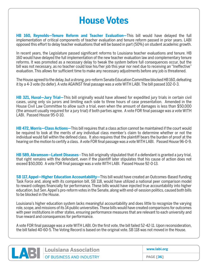#### **House Votes**

**HB 160, Reynolds—Tenure Reform and Teacher Evaluation—**This bill would have delayed the full implementation of critical components of teacher evaluation and tenure reform passed in prior years. LABI opposed this effort to delay teacher evaluations that will be based in part (50%) on student academic growth.

In recent years, the Legislature passed significant reforms to Louisiana teacher evaluations and tenure. HB 160 would have delayed the full implementation of the new teacher evaluation law and complementary tenure reforms. It was promoted as a necessary delay to tweak the system before full consequences occur, but the bill was not necessary, as no teacher could lose his/her job this year nor next due to receiving an "Ineffective" evaluation. This allows for sufficient time to make any necessary adjustments before any job is threatened.

The House agreed to the delay, but a strong, pro-reform Senate Education Committee blocked HB 160, defeating it by a 4-3 vote (to defer). A vote AGAINST final passage was a vote WITH LABI. The bill passed 102-0-3.

**HB 321, Huval—Jury Trial—**This bill originally would have allowed for expedited jury trials in certain civil cases, using only six jurors and limiting each side to three hours of case presentation. Amended in the House Civil Law Committee to allow such a trial, even when the amount of damages is less than \$50,000 (the amount usually required for a jury trial) if both parties agree. A vote FOR final passage was a vote WITH LABI. Passed House 95-0-10.

**HB 472, Morris—Class Actions—**This bill requires that a class action cannot be maintained if the court would be required to look at the merits of any individual class member's claim to determine whether or not the individual would fall within the defined class. It also requires that the plaintiff bears the burden of proof at the hearing on the motion to certify a class. A vote FOR final passage was a vote WITH LABI. Passed House 96-0-9.

**HB 589, Abramson—Latent Diseases**—This bill originally stipulated that if a defendant is granted a jury trial, that right remains with the defendant, even if the plaintiff later stipulates that his cause of action does not exceed \$50,000. A vote FOR final passage was a vote WITH LABI. Passed House 92-0-13.

**SB 117, Appel—Higher Education Accountability—**This bill would have created an Outcomes-Based Funding Task Force and, along with its companion bill, SB 118, would have utilized a national peer comparison model to reward colleges financially for performance. These bills would have injected true accountability into higher education, but Sen. Appel's pro-reform votes in the Senate, along with end-of-session politics, caused both bills to be blocked in the House.

Louisiana's higher education system lacks meaningful accountability and does little to recognize the varying role, scope, and missions of its 14 public universities. These bills would have created comparisons for outcomes with peer institutions in other states, ensuring performance measures that are relevant to each university and true reward and consequences for performance.

A vote FOR final passage was a vote WITH LABI. On the first vote, the bill failed 52-42-11. Upon reconsideration, the bill failed 40-60-5. The Voting Record is based on the original vote. SB 118 was not moved in the House.

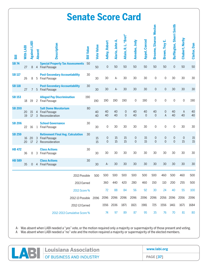|               | <b>Senate Score Card</b> |                     |                |                                                                                |                   |                   |                                 |                 |                      |                  |                   |                                    |                                     |                                    |                   |                     |
|---------------|--------------------------|---------------------|----------------|--------------------------------------------------------------------------------|-------------------|-------------------|---------------------------------|-----------------|----------------------|------------------|-------------------|------------------------------------|-------------------------------------|------------------------------------|-------------------|---------------------|
| 冨             | With LABI                | <b>Against LABI</b> | <b>Absent</b>  | <b>Description</b>                                                             | <b>Bill Value</b> | <b>Vote Value</b> | <b>Adley, Robert</b>            | Alario, John A. | Allain, R. L. "Bret" | Amedee, Jody     | Appel, Conrad     | <b>Broome, Sharon Weston</b>       | <b>Brown, Troy</b>                  | Buffington, Sherri Smith           | Chabert, Norby    | <b>Claitor, Dan</b> |
| <b>SB74</b>   | 27                       | 8                   |                | <b>Special Property Tax Assessments</b><br>4 Final Passage                     | 50                | 50                | $\mathbf 0$                     | 50              | 50                   | 50               | 50                | 50                                 | 50                                  | $\mathbf 0$                        | 50                | 50                  |
| <b>SB 117</b> | 26                       | 8                   | 5              | <b>Post-Secondary Accountability</b><br><b>Final Passage</b>                   | 30                | 30                | 30                              | $A-$            | 30                   | 30               | 30                | 0                                  | 0                                   | 30                                 | 30                | 30                  |
| <b>SB118</b>  | 27                       | $7^{\circ}$         |                | <b>Post-Secondary Accountability</b><br>5 Final Passage                        | 30                | 30                | 30                              | $A-$            | 30                   | 30               | 30                | $\mathbf 0$                        | $\mathbf 0$                         | 30                                 | 30                | 30                  |
| <b>SB153</b>  | 18                       | 19                  |                | <b>Alleged Pay Discrimination</b><br>2 Final Passage                           | 190               | 190               | 190                             | 190             | 190                  | $\mathbf 0$      | 190               | 0                                  | 0                                   | $\mathbf 0$                        | $\mathbf 0$       | 190                 |
| <b>SB 200</b> | 20<br>19                 | 15<br>17            | $\overline{3}$ | <b>Salt Dome Moratorium</b><br>4 Final Passage<br>Reconsideration              | 80                | 40<br>40          | 40<br>40                        | 40<br>40        | 0<br>$\overline{0}$  | 40<br>40         | 40<br>$\mathbf 0$ | 40<br>$\mathbf 0$                  | $\mathsf{O}\xspace$<br>$\mathsf{A}$ | 40<br>40                           | A<br>40           | 40<br>40            |
| <b>SB 206</b> | 22                       | 16                  |                | <b>School Governance</b><br>1 Final Passage                                    | 30                | 30                | 0                               | 30              | 30                   | 30               | 30                | $\mathsf{O}\xspace$                | 0                                   | $\mathbf 0$                        | 30                | 30                  |
| <b>SB 259</b> | 16<br>20                 | 20<br>17            | $\overline{c}$ | <b>Retirement Final Avg. Calculation</b><br>3 Final Passage<br>Reconsideration | 30                | 15<br>15          | $\boldsymbol{0}$<br>$\mathbf 0$ | 15<br>15        | 15<br>15             | 0<br>$\mathbf 0$ | 15<br>15          | $\mathsf{O}\xspace$<br>$\mathbf 0$ | $\mathsf{O}\xspace$<br>$\mathbf 0$  | $\mathsf{O}\xspace$<br>$\mathbf 0$ | $\mathbf 0$<br>15 | 15<br>15            |
| <b>HB 472</b> | 36                       | 0                   | 3              | <b>Class Actions</b><br><b>Final Passage</b>                                   | 30                | 30                | 30                              | 30              | 30                   | 30               | 30                | 30                                 | 30                                  | 30                                 | 30                | 30                  |
| <b>HB 589</b> | 35                       |                     |                | <b>Class Actions</b><br>0 4 Final Passage                                      | 30                | 30                | A-                              | 30              | 30                   | 30               | 30                | 30                                 | 30                                  | 30                                 | 30                | 30                  |
|               |                          |                     |                | 2013 Possible                                                                  |                   | 500               | 500                             | 500             | 500                  | 500              | 500               | 500                                | 460                                 | 500                                | 460               | 500                 |
|               |                          |                     |                | 2013 Earned                                                                    |                   |                   | 360                             | 440             | 420                  | 280              | 460               | 150                                | 110                                 | 200                                | 255               | 500                 |
|               |                          |                     |                | 2013 Score %                                                                   |                   |                   | 72                              | 88              | 84                   | 56               | 92                | 30                                 | 24                                  | 40                                 | 55                | 100                 |
|               |                          |                     |                | 2012-13 Possible 2096                                                          |                   |                   |                                 | 2096 2096       | 2096                 | 2096             | 2096              | 2096                               |                                     | 2056 2096                          | 2056              | 2096                |
|               |                          |                     |                | 2012-13 Earned                                                                 |                   |                   |                                 | 1556 2036       | 1871                 | 1821             | 1981              | 725                                | 1556                                | 1461                               | 1671              | 1684                |
|               |                          |                     |                | 2012-2013 Cumulative Score %                                                   |                   |                   | 74                              | 97              | 89                   | 87               | 95                | 35                                 | 76                                  | 70                                 | 81                | 80                  |

**EXAMPLE CONSIGNAL CONSIDERED AND ASSOCIATION www.labi.org PAGE [37]**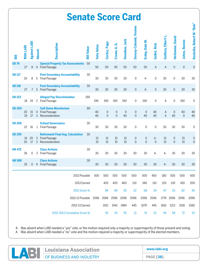|               | <b>Senate Score Card</b> |                     |                |                                                                                |                   |                   |                                    |                                    |                           |                       |                                         |                      |                     |                               |                      |                                         |
|---------------|--------------------------|---------------------|----------------|--------------------------------------------------------------------------------|-------------------|-------------------|------------------------------------|------------------------------------|---------------------------|-----------------------|-----------------------------------------|----------------------|---------------------|-------------------------------|----------------------|-----------------------------------------|
| <b>Bill</b>   | With LABI                | <b>Against LABI</b> | <b>Absent</b>  | Description                                                                    | <b>Bill Value</b> | <b>Vote Value</b> | Cortez, Page                       | Crowe, A. G.                       | Donahue, Jack             | Dorsey-Colomb, Yvonne | Erdey, Dale M.                          | <b>Gallot, Rick</b>  | Guillory, Elbert L. | Heitmeier, David              | Johns, Ronnie        | Kostelka, Robert W. "Bob"               |
| <b>SB74</b>   | 27                       | 8                   |                | <b>Special Property Tax Assessments</b><br>4 Final Passage                     | 50                | 50                | 50                                 | 50                                 | 50                        | 50                    | 50                                      | A                    | A                   | $\mathbf 0$                   | $\mathsf{O}\xspace$  | $\mathsf{O}\xspace$                     |
| <b>SB117</b>  | 26                       | 8                   | 5              | <b>Post-Secondary Accountability</b><br><b>Final Passage</b>                   | 30                | 30                | 30                                 | 30                                 | 30                        | 0                     | A-                                      | 0                    | 30                  | $\mathbf 0$                   | 30                   | 30                                      |
| <b>SB118</b>  | 27                       | $7^{\circ}$         |                | <b>Post-Secondary Accountability</b><br>5 Final Passage                        | 30                | 30                | 30                                 | 30                                 | 30                        | $\mathsf{O}\xspace$   | A-                                      | $\mathbf 0$          | 30                  | $\mathbf 0$                   | 30                   | 30                                      |
| <b>SB153</b>  | 18                       | 19                  |                | <b>Alleged Pay Discrimination</b><br>2 Final Passage                           | 190               | 190               | 190                                | 190                                | 190                       | 0                     | 190                                     | 0                    | Α                   | 0                             | 190                  | 0                                       |
| <b>SB 200</b> | 20<br>19                 | 15<br>17            | $\overline{3}$ | <b>Salt Dome Moratorium</b><br>4 Final Passage<br>Reconsideration              | 80                | 40<br>40          | $\boldsymbol{0}$<br>$\overline{0}$ | $\boldsymbol{0}$<br>$\overline{0}$ | $\mathsf{O}\xspace$<br>40 | 0<br>$\overline{0}$   | $\mathbf 0$<br>40                       | 40<br>40             | A<br>$\overline{A}$ | $\theta$<br>40                | 40<br>$\overline{0}$ | 40<br>40                                |
| <b>SB 206</b> | 22                       | 16                  |                | <b>School Governance</b><br>1 Final Passage                                    | 30                | 30                | 30                                 | 30                                 | 30                        | 0                     | $\mathbf 0$                             | 0                    | 30                  | 30                            | 30                   | 0                                       |
| <b>SB 259</b> | 16<br>20                 | 20<br>17            | $\overline{c}$ | <b>Retirement Final Avg. Calculation</b><br>3 Final Passage<br>Reconsideration | 30                | 15<br>15          | 15<br>15                           | 15<br>15                           | 15<br>15                  | 0<br>$\overline{0}$   | $\boldsymbol{0}$<br>$\mathsf{O}\xspace$ | $A -$<br>$\mathbf 0$ | 15<br>15            | $\overline{0}$<br>$\mathbf 0$ | 15<br>15             | $\boldsymbol{0}$<br>$\mathsf{O}\xspace$ |
| <b>HB 472</b> | 36                       | 0                   | 3              | <b>Class Actions</b><br><b>Final Passage</b>                                   | 30                | 30                | 30                                 | 30                                 | 30                        | 30                    | 30                                      | $A -$                | A-                  | 30                            | 30                   | 30                                      |
| <b>HB 589</b> | 35                       |                     |                | <b>Class Actions</b><br>0 4 Final Passage                                      | 30                | 30                | 30                                 | 30                                 | 30                        | 30                    | 30                                      | 30                   | $A-$                | 30                            | 30                   | 30                                      |
|               |                          |                     |                | 2013 Possible                                                                  |                   | 500               | 500                                | 500                                | 500                       | 500                   | 500                                     | 450                  | 180                 | 500                           | 500                  | 500                                     |
|               |                          |                     |                | 2013 Earned                                                                    |                   |                   | 420                                | 420                                | 460                       | 110                   | 340                                     | 110                  | 120                 | 130                           | 410                  | 200                                     |
|               |                          |                     |                | 2013 Score %                                                                   |                   |                   | 84                                 | 84                                 | 92                        | 22                    | 68                                      | 24                   | 67                  | 26                            | 82                   | 40                                      |
|               |                          |                     |                | 2012-13 Possible 2096 2096 2096                                                |                   |                   |                                    |                                    | 2096                      | 2096                  | 2096                                    | 2046                 |                     | 1776 2096                     | 2096                 | 2096                                    |
|               |                          |                     |                | 2012-13 Earned                                                                 |                   |                   | 1921                               | 1941                               | 1984                      | 445                   | 1070                                    | 445                  | 1661                | 1213                          | 1518                 | 1082                                    |
|               |                          |                     |                | 2012-2013 Cumulative Score %                                                   |                   |                   | 92                                 | 93                                 | 95                        | 21                    | 51                                      | 22                   | 94                  | 58                            | 72                   | 52                                      |

**EXAMPLE CONSIGNAL CONSIDERED AND ASSOCIATION www.labi.org PAGE [38]**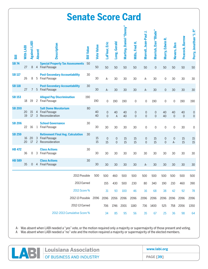#### **Senate Score Card**

| 5ill          | With LABI | <b>Against LABI</b> | <b>Absent</b>       | <b>Description</b>                                                                  | <b>Bill Value</b> | <b>Vote Value</b> | LaFleur, Eric                 | Long, Gerald               | Martiny, Daniel "Danny" | Mills, Fred H                              | Morrell, Jean-Paul J.              | Morrish, Dan "Blade"                       | Murry, Edwin R.     | Nevers, Ben         | Peacock, Barrow   | Perry, Jonathan "J. P."                 |
|---------------|-----------|---------------------|---------------------|-------------------------------------------------------------------------------------|-------------------|-------------------|-------------------------------|----------------------------|-------------------------|--------------------------------------------|------------------------------------|--------------------------------------------|---------------------|---------------------|-------------------|-----------------------------------------|
| <b>SB74</b>   | 27        | 8                   | 4                   | <b>Special Property Tax Assessments</b><br><b>Final Passage</b>                     | 50                | 50                | 50                            | 50                         | 50                      | 50                                         | 50                                 | $\mathsf{O}\xspace$                        | 50                  | 50                  | 50                | 50                                      |
| <b>SB 117</b> | 26        | 8                   | 5                   | <b>Post-Secondary Accountability</b><br><b>Final Passage</b>                        | 30                | 30                | $A-$                          | 30                         | 30                      | 30                                         | A-                                 | 30                                         | 0                   | 30                  | 30                | 30                                      |
| <b>SB118</b>  | 27        |                     |                     | <b>Post-Secondary Accountability</b><br>7 5 Final Passage                           | 30                | 30                | $A -$                         | 30                         | 30                      | 30                                         | $A-$                               | 30                                         | $\mathsf{O}\xspace$ | 30                  | 30                | 30                                      |
| <b>SB153</b>  | 18        | 19                  |                     | <b>Alleged Pay Discrimination</b><br>2 Final Passage                                | 190               | 190               | 0                             | 190                        | 190                     | 0                                          | $\mathsf{O}\xspace$                | 190                                        | 0                   | 0                   | 190               | 190                                     |
| <b>SB 200</b> | 20<br>19  | 15<br>17            | 3                   | <b>Salt Dome Moratorium</b><br>4 Final Passage<br>Reconsideration                   | 80                | 40<br>40          | $\mathbf 0$<br>$\overline{0}$ | 40<br>$\overline{A}$       | 40<br>40                | $\mathsf{O}\xspace$<br>$\mathsf{O}\xspace$ | $\boldsymbol{0}$<br>$\overline{0}$ | $\mathsf{O}\xspace$<br>$\mathsf{O}\xspace$ | 40<br>40            | 40<br>$\mathbf 0$   | 40<br>$\mathbf 0$ | $\boldsymbol{0}$<br>$\mathsf{O}\xspace$ |
| <b>SB 206</b> | 22        | 16                  |                     | <b>School Governance</b><br>1 Final Passage                                         | 30                | 30                | 30                            | 30                         | 30                      | 30                                         | 0                                  | $\mathbf 0$                                | 0                   | 0                   | 30                | $\mathbf 0$                             |
| <b>SB 259</b> | 16<br>20  | 20<br>17            | 3<br>$\overline{c}$ | <b>Retirement Final Avg. Calculation</b><br><b>Final Passage</b><br>Reconsideration | 30                | 15<br>15          | $\overline{0}$<br>15          | $\mathbf 0$<br>$\mathbf 0$ | 15<br>15                | 15<br>15                                   | 0<br>$\mathsf{O}\xspace$           | 15<br>15                                   | 0<br>$\mathbf 0$    | $\mathbf 0$<br>$A-$ | 15<br>15          | $15\,$<br>$15\,$                        |
| <b>HB 472</b> | 36        | $\mathsf{O}$        | $\mathcal{S}$       | <b>Class Actions</b><br><b>Final Passage</b>                                        | 30                | 30                | 30                            | 30                         | 30                      | 30                                         | 30                                 | 30                                         | 30                  | 30                  | 30                | 30                                      |
| <b>HB 589</b> | 35        | $\overline{0}$      | $\overline{4}$      | <b>Class Actions</b><br><b>Final Passage</b>                                        | 30                | 30                | 30                            | 30                         | 30                      | 30                                         | A-                                 | 30                                         | 30                  | 30                  | 30                | 30                                      |
|               |           |                     |                     | 2013 Possible                                                                       |                   | 500               | 500                           | 460                        | 500                     | 500                                        | 500                                | 500                                        | 500                 | 500                 | 500               | 500                                     |
|               |           |                     |                     | 2013 Earned                                                                         |                   |                   | 155                           | 430                        | 500                     | 230                                        | 80                                 | 340                                        | 190                 | 210                 | 460               | 390                                     |
|               |           |                     |                     | 2013 Score %                                                                        |                   |                   | 31                            | 93                         | 100                     | 46                                         | 16                                 | 68                                         | 38                  | 42                  | 92                | 78                                      |
|               |           |                     |                     | 2012-13 Possible 2096                                                               |                   |                   |                               | 2096 2056                  | 2096                    | 2096                                       | 2096                               | 2096                                       |                     | 2096 2096           | 2096              | 2096                                    |
|               |           |                     |                     | 2012-13 Earned                                                                      |                   |                   | 706                           | 1746                       | 2001                    | 1180                                       | 736                                | 1400                                       | 525                 | 758                 | 2056              | 1350                                    |
|               |           |                     |                     | 2012-2013 Cumulative Score %                                                        |                   |                   | 34                            | 85                         | 95                      | 56                                         | 35                                 | 67                                         | 25                  | 36                  | 98                | 64                                      |

| Louisiana Association     | www.labi.org     |  |
|---------------------------|------------------|--|
| LOF RUSINESS AND INDUSTRY | <b>PAGE [39]</b> |  |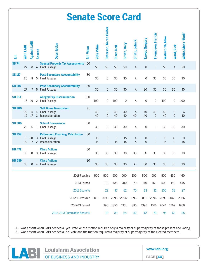#### **Senate Score Card**

| 冨             | With LABI | <b>Against LABI</b> | <b>Absent</b> | Description                                                                    | <b>Bill Value</b> | <b>Vote Value</b> | Peterson, Karen Carter     | Riser, Neil            | Smith, Gary | Smith, John R.   | Tarver, Gregory                    | <b>Thompson, Francis</b>           | <b>Walsworth, Mike</b> | Ward, Rick                 | White, Mack "Bodi" |  |
|---------------|-----------|---------------------|---------------|--------------------------------------------------------------------------------|-------------------|-------------------|----------------------------|------------------------|-------------|------------------|------------------------------------|------------------------------------|------------------------|----------------------------|--------------------|--|
| <b>SB74</b>   | 27        | 8                   |               | <b>Special Property Tax Assessments</b><br>4 Final Passage                     | 50                | 50                | 50                         | 50                     | 50          | A                | $\mathbf 0$                        | $\mathsf{O}\xspace$                | 50                     | A                          | 50                 |  |
| <b>SB117</b>  | 26        | 8                   |               | <b>Post-Secondary Accountability</b><br>5 Final Passage                        | 30                | 30                | 0                          | 30                     | 30          | Α                | 0                                  | 30                                 | 30                     | 30                         | 30                 |  |
| <b>SB118</b>  | 27        | 7 <sup>7</sup>      |               | <b>Post-Secondary Accountability</b><br>5 Final Passage                        | 30                | 30                | $\mathbf 0$                | 30                     | 30          | A                | 30                                 | 30                                 | 30                     | 30                         | 30                 |  |
| <b>SB153</b>  | 18        | 19                  |               | <b>Alleged Pay Discrimination</b><br>2 Final Passage                           | 190               | 190               | 0                          | 190                    | $\mathsf 0$ | A                | $\mathsf{O}\xspace$                | $\mathsf{O}\xspace$                | 190                    | $\mathsf{O}\xspace$        | 190                |  |
| <b>SB 200</b> | 20<br>19  | 15<br>17            | $\mathbf{3}$  | <b>Salt Dome Moratorium</b><br>4 Final Passage<br>Reconsideration              | 80                | 40<br>40          | $\mathbf 0$<br>$\mathbf 0$ | 40<br>40               | 40<br>40    | A<br>40          | 40<br>40                           | 40<br>$\mathsf{O}\xspace$          | 40<br>40               | $\mathbf 0$<br>$\mathbf 0$ | A<br>40            |  |
| <b>SB 206</b> | 22        | 16                  |               | <b>School Governance</b><br>1 Final Passage                                    | 30                | 30                | 0                          | 30                     | 30          | A                | $\mathsf{O}\xspace$                | $\mathbf 0$                        | 30                     | 30                         | 30                 |  |
| <b>SB 259</b> | 16<br>20  | 20<br>17            | $2^{\circ}$   | <b>Retirement Final Avg. Calculation</b><br>3 Final Passage<br>Reconsideration | 30                | 15<br>15          | 0<br>$\mathbf 0$           | $\boldsymbol{0}$<br>15 | 15<br>15    | A<br>$\mathsf A$ | $\boldsymbol{0}$<br>$\overline{0}$ | $\mathsf{O}\xspace$<br>$\mathbf 0$ | 15<br>15               | $A-$<br>$\mathbf 0$        | $\theta$<br>15     |  |
| <b>HB 472</b> | 36        | 0                   | 3             | <b>Class Actions</b><br><b>Final Passage</b>                                   | 30                | 30                | 30                         | 30                     | 30          | 30               | A-                                 | 30                                 | 30                     | 30                         | 30                 |  |
| <b>HB 589</b> | 35        |                     |               | <b>Class Actions</b><br>0 4 Final Passage                                      | 30                | 30                | 30                         | 30                     | 30          | $A -$            | 30                                 | 30                                 | 30                     | 30                         | 30                 |  |
|               |           |                     |               | 2013 Possible                                                                  |                   | 500               | 500                        | 500                    | 500         | 100              | 500                                | 500                                | 500                    | 450                        | 460                |  |
|               |           |                     |               | 2013 Earned                                                                    |                   |                   | 110                        | 485                    | 310         | 70               | 140                                | 160                                | 500                    | 150                        | 445                |  |
|               |           |                     |               | 2013 Score %                                                                   |                   |                   | 22                         | 97                     | 62          | 70               | 28                                 | 32                                 | 100                    | 33                         | 97                 |  |
|               |           |                     |               | 2012-13 Possible 2096 2096 2096                                                |                   |                   |                            |                        | 2096        | 1696             | 2096                               | 2096                               |                        | 2096 2046                  | 2056               |  |
|               |           |                     |               | 2012-13 Earned                                                                 |                   |                   | 390                        | 1856                   | 1351        | 885              | 1396                               | 1076                               | 2044                   | 1269                       | 1959               |  |
|               |           |                     |               | 2012-2013 Cumulative Score %                                                   |                   |                   | 19                         | 89                     | 64          | 52               | 67                                 | 51                                 | 98                     | 62                         | 95                 |  |

**EXABLE DUISIANA ASSOCIATION www.labi.org PAGE [40]**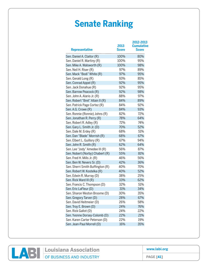#### **Senate Ranking**

| <b>Representative</b>            | 2013<br>Score | 2012-2013<br><b>Cumulative</b><br><b>Score</b> |
|----------------------------------|---------------|------------------------------------------------|
| Sen. Daniel A. Claitor (R)       | 100%          | 80%                                            |
| Sen. Daniel R. Martiny (R)       | 100%          | 95%                                            |
| Sen. Mike A. Walsworth (R)       | 100%          | 98%                                            |
| Sen. Neil H. Riser (R)           | 97%           | 89%                                            |
| Sen. Mack "Bodi" White (R)       | 97%           | 95%                                            |
| Sen. Gerald Long (R)             | 93%           | 85%                                            |
| Sen. Conrad Appel (R)            | 92%           | 95%                                            |
| Sen. Jack Donahue (R)            | 92%           | 95%                                            |
| Sen. Barrow Peacock (R)          | 92%           | 98%                                            |
| Sen. John A. Alario Jr. (R)      | 88%           | 97%                                            |
| Sen. Robert "Bret" Allain II (R) | 84%           | 89%                                            |
| Sen. Patrick Page Cortez (R)     | 84%           | 92%                                            |
| Sen. A.G. Crowe (R)              | 84%           | 93%                                            |
| Sen. Ronnie (Ronnie) Johns (R)   | 82%           | 72%                                            |
| Sen. Jonathan R. Perry (R)       | 78%           | 64%                                            |
| Sen. Robert R. Adley (R)         | 72%           | 74%                                            |
| Sen. Gary L. Smith Jr. (D)       | 70%           | 52%                                            |
| Sen. Dale M. Erdey (R)           | 68%           | 51%                                            |
| Sen. Dan "Blade" Morrish (R)     | 68%           | 67%                                            |
| Sen. Elbert L. Guillory (R)      | 67%           | 94%                                            |
| Sen. John R. Smith (R)           | 62%           | 64%                                            |
| Sen. Lee "Jody" Amedee III (R)   | 56%           | 87%                                            |
| Sen. Nobert (Norby) Chabert (R)  | 55%           | 81%                                            |
| Sen. Fred H. Mills Jr. (R)       | 46%           | 56%                                            |
| Sen. Ben W. Nevers Sr. (D)       | 42%           | 36%                                            |
| Sen. Sherri Smith Buffington (R) | 40%           | 70%                                            |
| Sen. Robert W. Kostelka (R)      | 40%           | 52%                                            |
| Sen. Edwin R. Murray (D)         | 38%           | 25%                                            |
| Sen. Rick Ward III (R)           | 33%           | 62%                                            |
| Sen. Francis C. Thompson (D)     | 32%           | 51%                                            |
| Sen. Eric LaFleur (D)            | 31%           | 34%                                            |
| Sen. Sharon Weston Broome (D)    | 30%           | 35%                                            |
| Sen. Gregory Tarver (D)          | 28%           | 67%                                            |
| Sen. David Heitmeier (D)         | 26%           | 58%                                            |
| Sen. Troy E. Brown (D)           | 24%           | 76%                                            |
| Sen. Rick Gallot (D)             | 24%           | 22%                                            |
| Sen. Yvonne Dorsey-Colomb (D)    | 22%           | 21%                                            |
| Sen. Karen Carter Peterson (D)   | 22%           | 19%                                            |
| Sen. Jean-Paul Morrell (D)       | 16%           | 35%                                            |
|                                  |               |                                                |



**www.labi.org**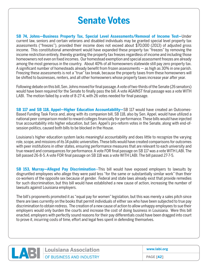#### **Senate Votes**

**SB 74, Johns—Business Property Tax, Special Level Assessments/Removal of Income Test—**Under current law, seniors and certain veterans and disabled individuals may be granted special level property tax assessments ("freezes"), provided their income does not exceed about \$70,000 (2013) of adjusted gross income. This constitutional amendment would have expanded these property tax "freezes" by removing the income restriction entirely, thereby granting the property tax freezes regardless of income and including those homeowners not even on fixed incomes. Our homestead exemption and special assessment freezes are already among the most generous in the country.About 40% of all homeowners statewide still pay zero property tax. A significant number of homesteads already benefit from frozen assessments — as high as 30% in one parish. Freezing these assessments is not a "true" tax break, because the property taxes from these homeowners will be shifted to businesses, renters, and all other homeowners whose property taxes increase year after year.

Following debate on this bill, Sen. Johns moved for final passage. A vote of two-thirds of the Senate (26 senators) would have been required for the Senate to finally pass the bill. A vote AGAINST final passage was a vote WITH LABI. The motion failed by a vote of 8-27-4, with 26 votes needed for final passage.

**SB 117 and SB 118, Appel—Higher Education Accountability—**SB 117 would have created an Outcomes-Based Funding Task Force and, along with its companion bill, SB 118, also by Sen. Appel, would have utilized a national peer comparison model to reward colleges financially for performance. These bills would have injected true accountability into higher education, but Sen. Appel's pro-reform votes in the Senate, along with end-ofsession politics, caused both bills to be blocked in the House.

Louisiana's higher education system lacks meaningful accountability and does little to recognize the varying role, scope, and missions of its 14 public universities. These bills would have created comparisons for outcomes with peer institutions in other states, ensuring performance measures that are relevant to each university and true reward and consequences for performance. A vote FOR final passage on SB 117 was a vote WITH LABI. The bill passed 26-8-5. A vote FOR final passage on SB 118 was a vote WITH LABI. The bill passed 27-7-5.

**SB 153, Murray—Alleged Pay Discrimination**—This bill would have exposed employers to lawsuits by disgruntled employees who allege they were paid less "for the same or substantially similar work" than their co-workers of the opposite sex because of gender. Federal and state laws already exist that provide remedies for such discrimination, but this bill would have established a new cause of action, increasing the number of lawsuits against Louisiana employers.

The bill's proponents promoted it as "equal pay for women" legislation, but this was merely a sales pitch since there are laws currently on the books that permit individuals of either sex who have been subjected to true pay discrimination to obtain redress. The creation of a new cause of action to allow unhappy employees to sue their employers would only burden the courts and increase the cost of doing business in Louisiana. Were this bill enacted, employers with perfectly sound reasons for their pay differentials could have been dragged into court to prove it, incurring costs of time, effort and legal fees spent in defending themselves.



**LABI CONSIDERS AND INDUSTRY** 

**www.labi.org**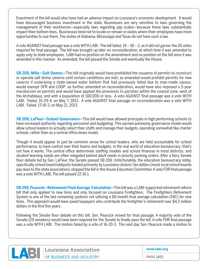Enactment of the bill would also have had an adverse impact on Louisiana's economic development. It would have discouraged business investment in the state. Businesses are very sensitive to laws governing the management of their workforces—especially laws regarding pay scales—because these laws substantially impact their bottom lines. Businesses tend not to locate or remain in states where their employees have more opportunities to sue them. The states of Alabama, Mississippi and Texas do not have such a law.

A vote AGAINST final passage was a vote WITH LABI. The bill failed, 19 – 18 – 2, as it did not garner the 20 votes required for final passage. The bill was brought up later on reconsideration, at which time it was amended to apply only to state employees. LABI had no position on the amendment and no position on the bill once it was amended in this manner. As amended, the bill passed the Senate and eventually the House.

**SB 200, Mills—Salt Domes—**This bill originally would have prohibited the issuance of permits to construct or operate salt dome caverns until certain conditions are met; as amended would prohibit permits for new caverns if underlying a state-owned water bottom that had previously failed due to man-made causes; would exempt SPR and LOOP; as further amended on reconsideration, would have also imposed a 5-year moratorium on permits and would have applied the provisions to parishes within the coastal zone, west of the Atchafalaya, and with a population of 100,000 or less. A vote AGAINST final passage was a vote WITH LABI. Failed, 15-29-4, on May 7, 2013. A vote AGAINST final passage on reconsideration was a vote WITH LABI. Failed, 17-19-3, on May 21, 2013.

**SB 206, LaFleur—School Governance—**This bill would have allowed principals in high performing schools to have increased authority regarding personnel and budgeting. This earned autonomy governance model would allow school leaders to actually select their staffs and manage their budgets, operating somewhat like charter schools, rather than as a central office down model.

Though it would appear to just be common sense for school leaders, who are held accountable for school performance, to have control over their teams and budgets, in the real world of education bureaucracy, that's not how it works. The central office determines staffing models and school finances in most districts, and student learning needs are often relegated behind adult needs in priority pecking orders. After a fiery Senate floor debate led by Sen. LaFleur, the Senate passed SB 206. Unfortunately, the education bureaucracy lobby, specifically school board lobbyists funded primarily by Louisiana citizens' tax dollars (most local school boards pay dues to the state association), stopped the bill in the House Education Committee. A vote FOR final passage was a vote WITH LABI. The bill passed 22-16-1.

**SB 259, Peacock—Retirement Final Average Calculation—**This bill was a LABI-supported retirement reform bill that only applied to new hires and only focused on Louisiana Firefighters. The Firefighters Retirement System is one of the last remaining systems not utilizing a 60-month final average calculation (FAC) for new hires. This approach would have saved taxpayers who contribute the firefighter's retirement over \$4.2 million dollars in the first five years.

Following the Senate floor debate on this bill, Sen. Peacock moved for final passage. A majority vote of the Senate (20 senators) would have been required for the Senate to finally pass the bill. A vote FOR final passage was a vote WITH LABI. The motion failed by a vote of 16-20-3. The next day Sen. Peacock made a motion to



**www.labi.org**